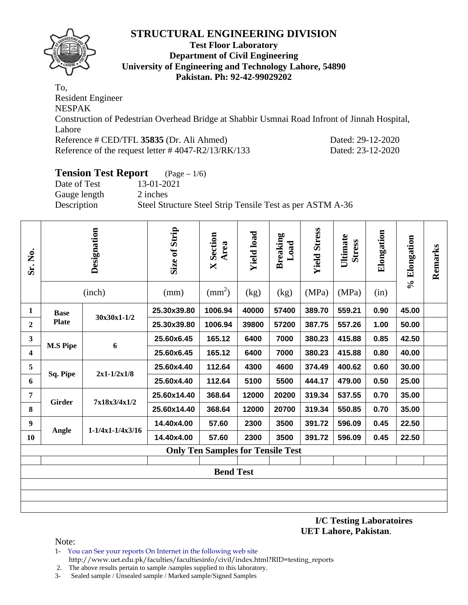

#### **Test Floor Laboratory Department of Civil Engineering University of Engineering and Technology Lahore, 54890 Pakistan. Ph: 92-42-99029202**

To, Resident Engineer NESPAK Construction of Pedestrian Overhead Bridge at Shabbir Usmnai Road Infront of Jinnah Hospital, Lahore Reference # CED/TFL **35835** (Dr. Ali Ahmed) Dated: 29-12-2020 Reference of the request letter # 4047-R2/13/RK/133 Dated: 23-12-2020

# **Tension Test Report** (Page – 1/6)

| Date of Test | 13-01-2021                                                |
|--------------|-----------------------------------------------------------|
| Gauge length | 2 inches                                                  |
| Description  | Steel Structure Steel Strip Tensile Test as per ASTM A-36 |
|              |                                                           |

| Sr. No.                 |                  | Designation<br>(inch)  | Size of Strip<br>(mm) | <b>X</b> Section<br>Area<br>$\text{(mm}^2)$ | <b>Yield load</b><br>(kg) | <b>Breaking</b><br>Load<br>(kg) | <b>Yield Stress</b><br>(MPa) | Ultimate<br><b>Stress</b><br>(MPa) | Elongation<br>(in) | % Elongation | Remarks |
|-------------------------|------------------|------------------------|-----------------------|---------------------------------------------|---------------------------|---------------------------------|------------------------------|------------------------------------|--------------------|--------------|---------|
| 1                       | <b>Base</b>      | 30x30x1-1/2            | 25.30x39.80           | 1006.94                                     | 40000                     | 57400                           | 389.70                       | 559.21                             | 0.90               | 45.00        |         |
| $\overline{2}$          | <b>Plate</b>     |                        | 25.30x39.80           | 1006.94                                     | 39800                     | 57200                           | 387.75                       | 557.26                             | 1.00               | 50.00        |         |
| $\mathbf{3}$            | <b>M.S Pipe</b>  | 6                      | 25.60x6.45            | 165.12                                      | 6400                      | 7000                            | 380.23                       | 415.88                             | 0.85               | 42.50        |         |
| $\overline{\mathbf{4}}$ |                  |                        | 25.60x6.45            | 165.12                                      | 6400                      | 7000                            | 380.23                       | 415.88                             | 0.80               | 40.00        |         |
| 5                       | Sq. Pipe         | $2x1-1/2x1/8$          | 25.60x4.40            | 112.64                                      | 4300                      | 4600                            | 374.49                       | 400.62                             | 0.60               | 30.00        |         |
| 6                       |                  |                        | 25.60x4.40            | 112.64                                      | 5100                      | 5500                            | 444.17                       | 479.00                             | 0.50               | 25.00        |         |
| 7                       | <b>Girder</b>    | 7x18x3/4x1/2           | 25.60x14.40           | 368.64                                      | 12000                     | 20200                           | 319.34                       | 537.55                             | 0.70               | 35.00        |         |
| 8                       |                  |                        | 25.60x14.40           | 368.64                                      | 12000                     | 20700                           | 319.34                       | 550.85                             | 0.70               | 35.00        |         |
| 9                       | Angle            | $1 - 1/4x1 - 1/4x3/16$ | 14.40x4.00            | 57.60                                       | 2300                      | 3500                            | 391.72                       | 596.09                             | 0.45               | 22.50        |         |
| <b>10</b>               |                  |                        | 14.40x4.00            | 57.60                                       | 2300                      | 3500                            | 391.72                       | 596.09                             | 0.45               | 22.50        |         |
|                         |                  |                        |                       | <b>Only Ten Samples for Tensile Test</b>    |                           |                                 |                              |                                    |                    |              |         |
|                         | <b>Bend Test</b> |                        |                       |                                             |                           |                                 |                              |                                    |                    |              |         |
|                         |                  |                        |                       |                                             |                           |                                 |                              |                                    |                    |              |         |
|                         |                  |                        |                       |                                             |                           |                                 |                              |                                    |                    |              |         |

**I/C Testing Laboratoires UET Lahore, Pakistan**.

- 1- You can See your reports On Internet in the following web site http://www.uet.edu.pk/faculties/facultiesinfo/civil/index.html?RID=testing\_reports
- 2. The above results pertain to sample /samples supplied to this laboratory.
- 3- Sealed sample / Unsealed sample / Marked sample/Signed Samples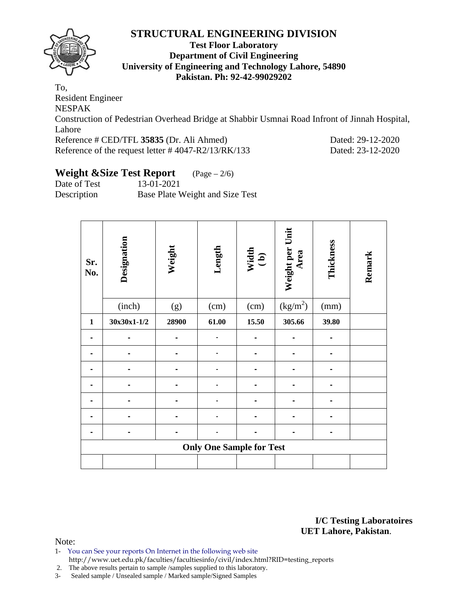

#### **Test Floor Laboratory Department of Civil Engineering University of Engineering and Technology Lahore, 54890 Pakistan. Ph: 92-42-99029202**

To, Resident Engineer NESPAK Construction of Pedestrian Overhead Bridge at Shabbir Usmnai Road Infront of Jinnah Hospital, Lahore Reference # CED/TFL **35835** (Dr. Ali Ahmed) Dated: 29-12-2020 Reference of the request letter # 4047-R2/13/RK/133 Dated: 23-12-2020

# **Weight &Size Test Report** (Page – 2/6)

Date of Test 13-01-2021 Description Base Plate Weight and Size Test

| Sr.<br>No.   | Designation | Weight | Length                          | Width<br>(b) | Weight per Unit<br>Area | Thickness | Remark |
|--------------|-------------|--------|---------------------------------|--------------|-------------------------|-----------|--------|
|              | (inch)      | (g)    | (cm)                            | (cm)         | $\left(kg/m^{2}\right)$ | (mm)      |        |
| $\mathbf{1}$ | 30x30x1-1/2 | 28900  | 61.00                           | 15.50        | 305.66                  | 39.80     |        |
|              |             |        |                                 |              |                         |           |        |
|              |             |        |                                 |              |                         |           |        |
|              |             |        |                                 |              |                         |           |        |
|              |             |        |                                 |              |                         |           |        |
|              |             |        |                                 |              |                         |           |        |
|              |             |        |                                 |              |                         |           |        |
|              |             |        |                                 |              |                         |           |        |
|              |             |        | <b>Only One Sample for Test</b> |              |                         |           |        |
|              |             |        |                                 |              |                         |           |        |

**I/C Testing Laboratoires UET Lahore, Pakistan**.

- 1- You can See your reports On Internet in the following web site http://www.uet.edu.pk/faculties/facultiesinfo/civil/index.html?RID=testing\_reports
- 2. The above results pertain to sample /samples supplied to this laboratory.
- 3- Sealed sample / Unsealed sample / Marked sample/Signed Samples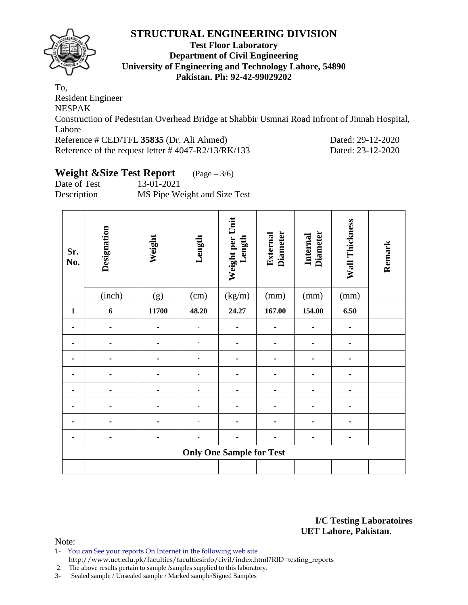

#### **Test Floor Laboratory Department of Civil Engineering University of Engineering and Technology Lahore, 54890 Pakistan. Ph: 92-42-99029202**

To, Resident Engineer NESPAK Construction of Pedestrian Overhead Bridge at Shabbir Usmnai Road Infront of Jinnah Hospital, Lahore Reference # CED/TFL **35835** (Dr. Ali Ahmed) Dated: 29-12-2020 Reference of the request letter # 4047-R2/13/RK/133 Dated: 23-12-2020

# **Weight &Size Test Report** (Page – 3/6)

Date of Test 13-01-2021 Description MS Pipe Weight and Size Test

| Sr.<br>No.   | Designation                     | Weight | Length | Weight per Unit<br>Length | <b>Diameter</b><br>External | <b>Diameter</b><br>Internal | Wall Thickness | Remark |  |  |
|--------------|---------------------------------|--------|--------|---------------------------|-----------------------------|-----------------------------|----------------|--------|--|--|
|              | (inch)                          | (g)    | (cm)   | (kg/m)                    | (mm)                        | (mm)                        | (mm)           |        |  |  |
| $\mathbf{1}$ | 6                               | 11700  | 48.20  | 24.27                     | 167.00                      | 154.00                      | 6.50           |        |  |  |
|              | $\qquad \qquad \blacksquare$    |        |        |                           | -                           |                             | $\blacksquare$ |        |  |  |
|              |                                 |        |        |                           |                             |                             |                |        |  |  |
|              |                                 |        |        |                           | -                           |                             |                |        |  |  |
|              |                                 |        |        |                           |                             |                             |                |        |  |  |
|              |                                 |        |        |                           |                             |                             |                |        |  |  |
|              |                                 |        |        |                           |                             |                             |                |        |  |  |
|              |                                 |        |        |                           |                             |                             |                |        |  |  |
|              | -                               |        |        |                           |                             |                             |                |        |  |  |
|              | <b>Only One Sample for Test</b> |        |        |                           |                             |                             |                |        |  |  |
|              |                                 |        |        |                           |                             |                             |                |        |  |  |

**I/C Testing Laboratoires UET Lahore, Pakistan**.

- 1- You can See your reports On Internet in the following web site http://www.uet.edu.pk/faculties/facultiesinfo/civil/index.html?RID=testing\_reports
- 2. The above results pertain to sample /samples supplied to this laboratory.
- 3- Sealed sample / Unsealed sample / Marked sample/Signed Samples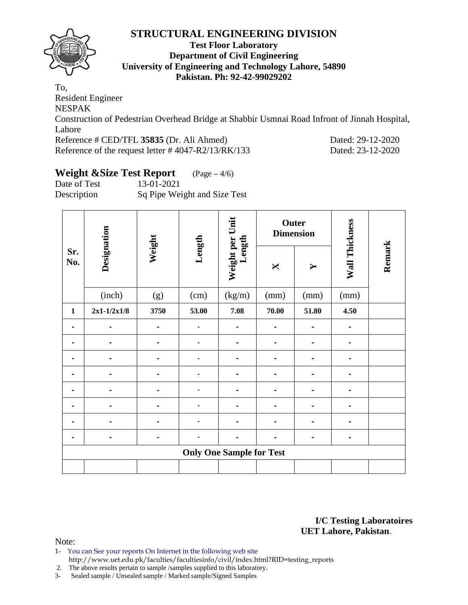

#### **Test Floor Laboratory Department of Civil Engineering University of Engineering and Technology Lahore, 54890 Pakistan. Ph: 92-42-99029202**

To, Resident Engineer NESPAK Construction of Pedestrian Overhead Bridge at Shabbir Usmnai Road Infront of Jinnah Hospital, Lahore Reference # CED/TFL **35835** (Dr. Ali Ahmed) Dated: 29-12-2020 Reference of the request letter # 4047-R2/13/RK/133 Dated: 23-12-2020

# **Weight &Size Test Report** (Page – 4/6)

Date of Test 13-01-2021 Description Sq Pipe Weight and Size Test

|                |                                 |        |        |                           | Outer<br><b>Dimension</b> |                |                |        |  |  |
|----------------|---------------------------------|--------|--------|---------------------------|---------------------------|----------------|----------------|--------|--|--|
| Sr.<br>No.     | Designation                     | Weight | Length | Weight per Unit<br>Length | X                         | Y              | Wall Thickness | Remark |  |  |
|                | (inch)                          | (g)    | (cm)   | (kg/m)                    | (mm)                      | (mm)           | (mm)           |        |  |  |
| $\mathbf{1}$   | $2x1-1/2x1/8$                   | 3750   | 53.00  | 7.08                      | 70.00                     | 51.80          | 4.50           |        |  |  |
| ۰              | -                               | -      |        |                           | $\blacksquare$            | $\blacksquare$ | $\blacksquare$ |        |  |  |
|                |                                 |        |        |                           |                           |                |                |        |  |  |
|                |                                 |        |        |                           | $\blacksquare$            |                |                |        |  |  |
|                |                                 |        |        |                           |                           |                |                |        |  |  |
| $\blacksquare$ |                                 | -      |        |                           | $\blacksquare$            | $\blacksquare$ |                |        |  |  |
|                |                                 |        |        |                           |                           |                |                |        |  |  |
|                |                                 |        |        |                           |                           |                |                |        |  |  |
|                |                                 |        |        |                           |                           |                |                |        |  |  |
|                | <b>Only One Sample for Test</b> |        |        |                           |                           |                |                |        |  |  |
|                |                                 |        |        |                           |                           |                |                |        |  |  |

**I/C Testing Laboratoires UET Lahore, Pakistan**.

- 1- You can See your reports On Internet in the following web site http://www.uet.edu.pk/faculties/facultiesinfo/civil/index.html?RID=testing\_reports
- 2. The above results pertain to sample /samples supplied to this laboratory.
- 3- Sealed sample / Unsealed sample / Marked sample/Signed Samples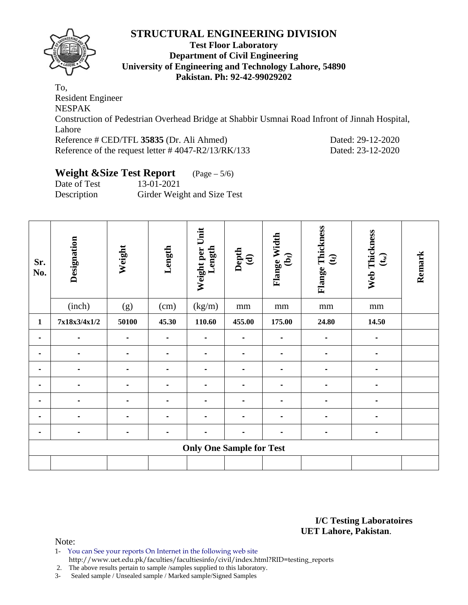

#### **Test Floor Laboratory Department of Civil Engineering University of Engineering and Technology Lahore, 54890 Pakistan. Ph: 92-42-99029202**

To, Resident Engineer NESPAK Construction of Pedestrian Overhead Bridge at Shabbir Usmnai Road Infront of Jinnah Hospital, Lahore Reference # CED/TFL **35835** (Dr. Ali Ahmed) Dated: 29-12-2020 Reference of the request letter # 4047-R2/13/RK/133 Dated: 23-12-2020

# **Weight &Size Test Report** (Page – 5/6)

Date of Test 13-01-2021 Description Girder Weight and Size Test

| Sr.<br>No.     | Designation    | Weight         | Length         | Weight per Unit<br>Length       | Depth<br>$\mathbf{\widehat{e}}$ | Flange Width<br>$\mathbf{\hat{e}}$ | Flange Thickness<br>$\mathfrak{E}$ | Web Thickness<br>$\left(\mathbf{t}_{w}\right)$ | Remark |
|----------------|----------------|----------------|----------------|---------------------------------|---------------------------------|------------------------------------|------------------------------------|------------------------------------------------|--------|
|                | (inch)         | (g)            | (cm)           | (kg/m)                          | mm                              | $\rm mm$                           | mm                                 | $\rm mm$                                       |        |
| $\mathbf{1}$   | 7x18x3/4x1/2   | 50100          | 45.30          | 110.60                          | 455.00                          | 175.00                             | 24.80                              | 14.50                                          |        |
| $\blacksquare$ | $\blacksquare$ |                | $\blacksquare$ | $\blacksquare$                  | $\blacksquare$                  | -                                  | $\blacksquare$                     | $\blacksquare$                                 |        |
|                |                |                |                |                                 |                                 |                                    |                                    |                                                |        |
|                |                |                |                | $\blacksquare$                  | $\blacksquare$                  |                                    |                                    |                                                |        |
|                |                |                | $\blacksquare$ | $\blacksquare$                  | $\blacksquare$                  |                                    | $\blacksquare$                     | $\blacksquare$                                 |        |
| $\blacksquare$ |                |                | $\blacksquare$ |                                 | $\blacksquare$                  |                                    |                                    |                                                |        |
|                |                |                |                |                                 |                                 |                                    |                                    |                                                |        |
| $\blacksquare$ | $\blacksquare$ | $\blacksquare$ | $\blacksquare$ | $\blacksquare$                  | $\blacksquare$                  | $\blacksquare$                     | $\blacksquare$                     | $\blacksquare$                                 |        |
|                |                |                |                | <b>Only One Sample for Test</b> |                                 |                                    |                                    |                                                |        |
|                |                |                |                |                                 |                                 |                                    |                                    |                                                |        |

**I/C Testing Laboratoires UET Lahore, Pakistan**.

Note:

1- You can See your reports On Internet in the following web site http://www.uet.edu.pk/faculties/facultiesinfo/civil/index.html?RID=testing\_reports

2. The above results pertain to sample /samples supplied to this laboratory.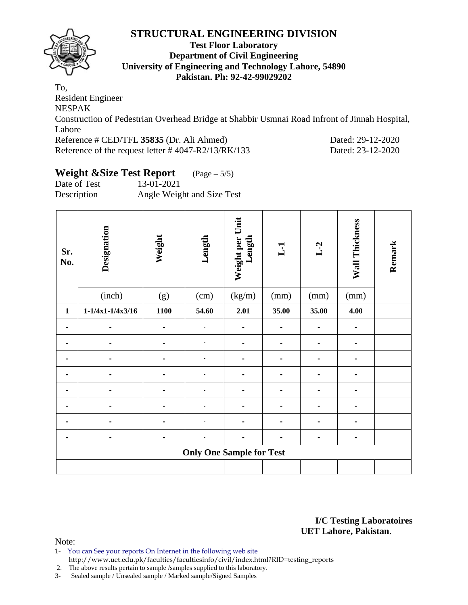

#### **Test Floor Laboratory Department of Civil Engineering University of Engineering and Technology Lahore, 54890 Pakistan. Ph: 92-42-99029202**

To, Resident Engineer NESPAK Construction of Pedestrian Overhead Bridge at Shabbir Usmnai Road Infront of Jinnah Hospital, Lahore Reference # CED/TFL **35835** (Dr. Ali Ahmed) Dated: 29-12-2020 Reference of the request letter # 4047-R2/13/RK/133 Dated: 23-12-2020

# **Weight &Size Test Report** (Page – 5/5)

Date of Test 13-01-2021 Description Angle Weight and Size Test

| Sr.<br>No.   | Designation                     | Weight | Length | Weight per Unit<br>Length | L1             | $L-2$          | Wall Thickness | Remark |  |  |
|--------------|---------------------------------|--------|--------|---------------------------|----------------|----------------|----------------|--------|--|--|
|              | (inch)                          | (g)    | (cm)   | (kg/m)                    | (mm)           | (mm)           | (mm)           |        |  |  |
| $\mathbf{1}$ | $1 - 1/4x1 - 1/4x3/16$          | 1100   | 54.60  | 2.01                      | 35.00          | 35.00          | 4.00           |        |  |  |
|              |                                 |        |        |                           |                |                | $\blacksquare$ |        |  |  |
|              |                                 |        |        |                           |                |                |                |        |  |  |
|              |                                 |        |        |                           |                |                |                |        |  |  |
|              |                                 |        |        |                           |                |                |                |        |  |  |
| -            | $\blacksquare$                  |        |        | -                         | $\blacksquare$ | $\blacksquare$ | ۰              |        |  |  |
|              |                                 |        |        |                           |                |                |                |        |  |  |
|              |                                 |        |        |                           | $\blacksquare$ |                | ۰              |        |  |  |
|              |                                 |        |        |                           |                |                |                |        |  |  |
|              | <b>Only One Sample for Test</b> |        |        |                           |                |                |                |        |  |  |
|              |                                 |        |        |                           |                |                |                |        |  |  |

**I/C Testing Laboratoires UET Lahore, Pakistan**.

- 1- You can See your reports On Internet in the following web site http://www.uet.edu.pk/faculties/facultiesinfo/civil/index.html?RID=testing\_reports
- 2. The above results pertain to sample /samples supplied to this laboratory.
- 3- Sealed sample / Unsealed sample / Marked sample/Signed Samples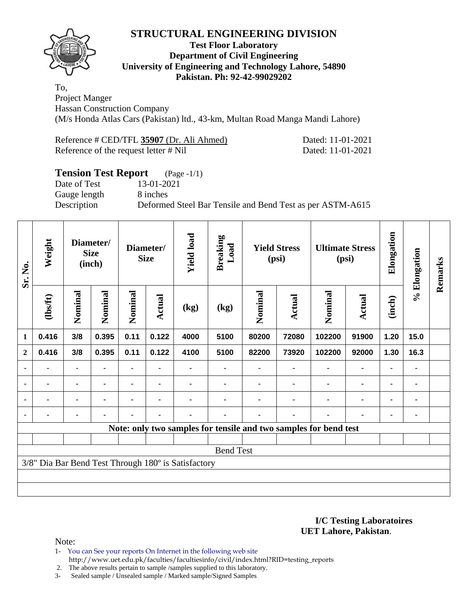

#### **Test Floor Laboratory Department of Civil Engineering University of Engineering and Technology Lahore, 54890 Pakistan. Ph: 92-42-99029202**

To, Project Manger Hassan Construction Company (M/s Honda Atlas Cars (Pakistan) ltd., 43-km, Multan Road Manga Mandi Lahore)

| Reference # CED/TFL 35907 (Dr. Ali Ahmed) | Dated: 11-01-2021 |
|-------------------------------------------|-------------------|
| Reference of the request letter # Nil     | Dated: 11-01-2021 |

## **Tension Test Report** (Page -1/1)

Gauge length 8 inches

Date of Test 13-01-2021

Description Deformed Steel Bar Tensile and Bend Test as per ASTM-A615

| Sr. No.        | Weight         |                | Diameter/<br><b>Size</b><br>(inch) |         | <b>Yield load</b><br>Diameter/<br><b>Size</b> |                                                     | <b>Breaking</b><br>Load | <b>Yield Stress</b><br>(psi) |        | <b>Ultimate Stress</b><br>(psi)                                  |               | Elongation     | % Elongation | Remarks |
|----------------|----------------|----------------|------------------------------------|---------|-----------------------------------------------|-----------------------------------------------------|-------------------------|------------------------------|--------|------------------------------------------------------------------|---------------|----------------|--------------|---------|
|                | $\frac{2}{10}$ | Nominal        | Nominal                            | Nominal | <b>Actual</b>                                 | (kg)                                                | (kg)                    | Nominal                      | Actual | Nominal                                                          | <b>Actual</b> | (inch)         |              |         |
| 1              | 0.416          | 3/8            | 0.395                              | 0.11    | 0.122                                         | 4000                                                | 5100                    | 80200                        | 72080  | 102200                                                           | 91900         | 1.20           | 15.0         |         |
| $\mathbf{2}$   | 0.416          | 3/8            | 0.395                              | 0.11    | 0.122                                         | 4100                                                | 5100                    | 82200                        | 73920  | 102200                                                           | 92000         | 1.30           | 16.3         |         |
|                |                | $\blacksquare$ |                                    |         |                                               |                                                     |                         |                              |        |                                                                  |               |                |              |         |
| $\blacksquare$ | ۰              | ۰              | ٠                                  |         |                                               |                                                     |                         |                              |        | ٠                                                                | ۰             | ۰              |              |         |
|                | ۰              |                | $\blacksquare$                     |         |                                               |                                                     |                         |                              |        |                                                                  | ۰             | $\blacksquare$ |              |         |
|                |                | ۰              | ٠                                  |         | $\blacksquare$                                |                                                     |                         |                              | ٠      |                                                                  |               | $\blacksquare$ |              |         |
|                |                |                |                                    |         |                                               |                                                     |                         |                              |        | Note: only two samples for tensile and two samples for bend test |               |                |              |         |
|                |                |                |                                    |         |                                               |                                                     |                         |                              |        |                                                                  |               |                |              |         |
|                |                |                |                                    |         |                                               |                                                     | <b>Bend Test</b>        |                              |        |                                                                  |               |                |              |         |
|                |                |                |                                    |         |                                               | 3/8" Dia Bar Bend Test Through 180° is Satisfactory |                         |                              |        |                                                                  |               |                |              |         |
|                |                |                |                                    |         |                                               |                                                     |                         |                              |        |                                                                  |               |                |              |         |
|                |                |                |                                    |         |                                               |                                                     |                         |                              |        |                                                                  |               |                |              |         |

**I/C Testing Laboratoires UET Lahore, Pakistan**.

Note:

- 1- You can See your reports On Internet in the following web site http://www.uet.edu.pk/faculties/facultiesinfo/civil/index.html?RID=testing\_reports
- 2. The above results pertain to sample /samples supplied to this laboratory.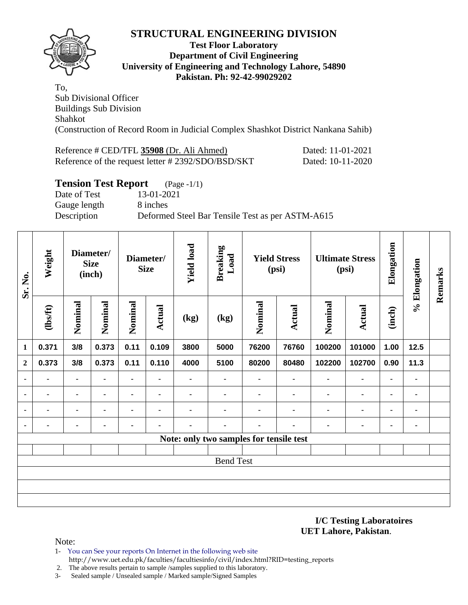

#### **Test Floor Laboratory Department of Civil Engineering University of Engineering and Technology Lahore, 54890 Pakistan. Ph: 92-42-99029202**

To, Sub Divisional Officer Buildings Sub Division Shahkot (Construction of Record Room in Judicial Complex Shashkot District Nankana Sahib)

| Reference # CED/TFL 35908 (Dr. Ali Ahmed)         | Dated: 11-01-2021 |
|---------------------------------------------------|-------------------|
| Reference of the request letter #2392/SDO/BSD/SKT | Dated: 10-11-2020 |

#### **Tension Test Report** (Page -1/1)

Date of Test 13-01-2021 Gauge length 8 inches Description Deformed Steel Bar Tensile Test as per ASTM-A615

| Sr. No.        | Weight  |         | Diameter/<br><b>Size</b><br>(inch) |                | Diameter/<br><b>Size</b> | <b>Yield load</b> | <b>Breaking</b><br>Load                 | <b>Yield Stress</b><br>(psi) |                |                |                |                |                |  |  |  |  |  |  |  |  |  |  |  |  |  |  |  |  |  |  |  |  | <b>Ultimate Stress</b><br>(psi) |  | Elongation | % Elongation | Remarks |
|----------------|---------|---------|------------------------------------|----------------|--------------------------|-------------------|-----------------------------------------|------------------------------|----------------|----------------|----------------|----------------|----------------|--|--|--|--|--|--|--|--|--|--|--|--|--|--|--|--|--|--|--|--|---------------------------------|--|------------|--------------|---------|
|                | (1bsft) | Nominal | Nominal                            | Nominal        | Actual                   | (kg)              | (kg)                                    | Nominal                      | Actual         | Nominal        | Actual         | (inch)         |                |  |  |  |  |  |  |  |  |  |  |  |  |  |  |  |  |  |  |  |  |                                 |  |            |              |         |
| $\mathbf{1}$   | 0.371   | 3/8     | 0.373                              | 0.11           | 0.109                    | 3800              | 5000                                    | 76200                        | 76760          | 100200         | 101000         | 1.00           | 12.5           |  |  |  |  |  |  |  |  |  |  |  |  |  |  |  |  |  |  |  |  |                                 |  |            |              |         |
| $\overline{2}$ | 0.373   | 3/8     | 0.373                              | 0.11           | 0.110                    | 4000              | 5100                                    | 80200                        | 80480          | 102200         | 102700         | 0.90           | 11.3           |  |  |  |  |  |  |  |  |  |  |  |  |  |  |  |  |  |  |  |  |                                 |  |            |              |         |
| ٠              |         |         |                                    | $\blacksquare$ |                          | $\blacksquare$    | $\blacksquare$                          | $\blacksquare$               | $\blacksquare$ | $\blacksquare$ | $\blacksquare$ | $\blacksquare$ | $\blacksquare$ |  |  |  |  |  |  |  |  |  |  |  |  |  |  |  |  |  |  |  |  |                                 |  |            |              |         |
|                |         |         | $\blacksquare$                     | ۰              |                          | $\blacksquare$    | $\blacksquare$                          | -                            | $\blacksquare$ | $\blacksquare$ | $\blacksquare$ | ۰              | ٠              |  |  |  |  |  |  |  |  |  |  |  |  |  |  |  |  |  |  |  |  |                                 |  |            |              |         |
|                | ٠       | ۰       | $\blacksquare$                     | $\blacksquare$ | $\blacksquare$           | $\blacksquare$    | $\blacksquare$                          | -                            | $\blacksquare$ | $\blacksquare$ | $\blacksquare$ | $\blacksquare$ | $\blacksquare$ |  |  |  |  |  |  |  |  |  |  |  |  |  |  |  |  |  |  |  |  |                                 |  |            |              |         |
|                |         | ۰       | $\blacksquare$                     | ۰              |                          |                   | $\blacksquare$                          |                              | $\blacksquare$ | $\blacksquare$ | $\blacksquare$ | ٠              | ٠              |  |  |  |  |  |  |  |  |  |  |  |  |  |  |  |  |  |  |  |  |                                 |  |            |              |         |
|                |         |         |                                    |                |                          |                   | Note: only two samples for tensile test |                              |                |                |                |                |                |  |  |  |  |  |  |  |  |  |  |  |  |  |  |  |  |  |  |  |  |                                 |  |            |              |         |
|                |         |         |                                    |                |                          |                   |                                         |                              |                |                |                |                |                |  |  |  |  |  |  |  |  |  |  |  |  |  |  |  |  |  |  |  |  |                                 |  |            |              |         |
|                |         |         |                                    |                |                          |                   | <b>Bend Test</b>                        |                              |                |                |                |                |                |  |  |  |  |  |  |  |  |  |  |  |  |  |  |  |  |  |  |  |  |                                 |  |            |              |         |
|                |         |         |                                    |                |                          |                   |                                         |                              |                |                |                |                |                |  |  |  |  |  |  |  |  |  |  |  |  |  |  |  |  |  |  |  |  |                                 |  |            |              |         |
|                |         |         |                                    |                |                          |                   |                                         |                              |                |                |                |                |                |  |  |  |  |  |  |  |  |  |  |  |  |  |  |  |  |  |  |  |  |                                 |  |            |              |         |
|                |         |         |                                    |                |                          |                   |                                         |                              |                |                |                |                |                |  |  |  |  |  |  |  |  |  |  |  |  |  |  |  |  |  |  |  |  |                                 |  |            |              |         |

**I/C Testing Laboratoires UET Lahore, Pakistan**.

- 1- You can See your reports On Internet in the following web site http://www.uet.edu.pk/faculties/facultiesinfo/civil/index.html?RID=testing\_reports
- 2. The above results pertain to sample /samples supplied to this laboratory.
- 3- Sealed sample / Unsealed sample / Marked sample/Signed Samples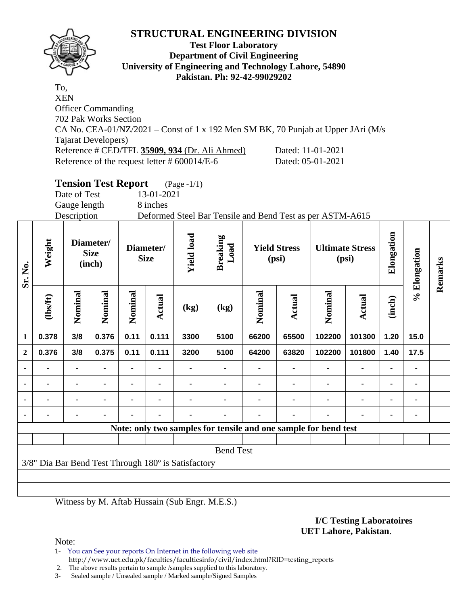

**Sr. No.** 

#### **Test Floor Laboratory Department of Civil Engineering University of Engineering and Technology Lahore, 54890 Pakistan. Ph: 92-42-99029202**

To, XEN Officer Commanding 702 Pak Works Section CA No. CEA-01/NZ/2021 – Const of 1 x 192 Men SM BK, 70 Punjab at Upper JAri (M/s Tajarat Developers) Reference # CED/TFL **35909, 934** (Dr. Ali Ahmed) Dated: 11-01-2021 Reference of the request letter # 600014/E-6 Dated: 05-01-2021

#### **Tension Test Report** (Page -1/1) Date of Test 13-01-2021 Gauge length 8 inches Description Deformed Steel Bar Tensile and Bend Test as per ASTM-A615 **Elongation Yield load**  Elongation **Yield** load **Breaking Weight Diameter/ Load Diameter/ Yield Stress Ultimate Stress % Elongation**  % Elongation **Size Size (psi) (psi) Remarks**  Remarks **(inch) Nominal Nominal Nominal Nominal Nominal**  Nominal Nominal Nominal Nominal Nominal **(lbs/ft) Actual Actual Actual (inch) (kg) (kg) 1 0.378 3/8 0.376 0.11 0.111 3300 5100 66200 65500 102200 101300 1.20 15.0 2 0.376 3/8 0.375 0.11 0.111 3200 5100 64200 63820 102200 101800 1.40 17.5 - - - - - - - - - - - - - - - - - - - - - - - - - - - - - - - - - - - - - - - - - - - - - - - - - - - - - - - - Note: only two samples for tensile and one sample for bend test** Bend Test 3/8" Dia Bar Bend Test Through 180º is Satisfactory

Witness by M. Aftab Hussain (Sub Engr. M.E.S.)

#### **I/C Testing Laboratoires UET Lahore, Pakistan**.

Note:

1- You can See your reports On Internet in the following web site http://www.uet.edu.pk/faculties/facultiesinfo/civil/index.html?RID=testing\_reports

2. The above results pertain to sample /samples supplied to this laboratory.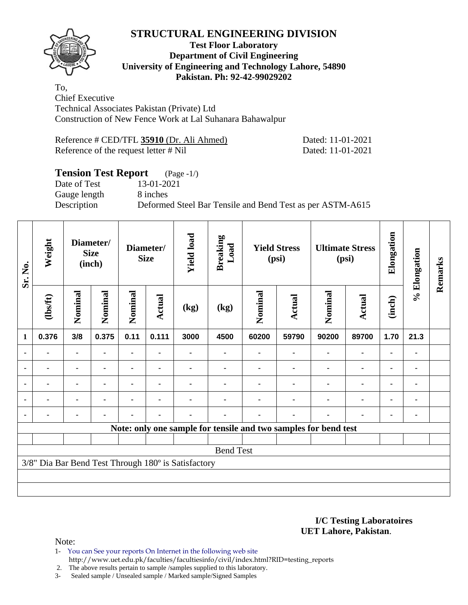

#### **Test Floor Laboratory Department of Civil Engineering University of Engineering and Technology Lahore, 54890 Pakistan. Ph: 92-42-99029202**

To, Chief Executive Technical Associates Pakistan (Private) Ltd Construction of New Fence Work at Lal Suhanara Bahawalpur

| Reference # CED/TFL 35910 (Dr. Ali Ahmed) | Dated: 11-01-2021 |
|-------------------------------------------|-------------------|
| Reference of the request letter # Nil     | Dated: 11-01-2021 |

## **Tension Test Report** (Page -1/)

Date of Test 13-01-2021 Gauge length 8 inches

Description Deformed Steel Bar Tensile and Bend Test as per ASTM-A615

| Sr. No.        | Weight         | Diameter/<br><b>Size</b><br>(inch) |                | Diameter/<br><b>Size</b> |        | <b>Yield load</b>                                   | <b>Breaking</b><br>Load | <b>Yield Stress</b><br>(psi)                                    |               | <b>Ultimate Stress</b><br>(psi) |                | Elongation     | % Elongation | Remarks |
|----------------|----------------|------------------------------------|----------------|--------------------------|--------|-----------------------------------------------------|-------------------------|-----------------------------------------------------------------|---------------|---------------------------------|----------------|----------------|--------------|---------|
|                | $\frac{2}{10}$ | Nominal                            | Nominal        | Nominal                  | Actual | (kg)                                                | (kg)                    | Nominal                                                         | <b>Actual</b> | Nominal                         | <b>Actual</b>  | (inch)         |              |         |
| 1              | 0.376          | 3/8                                | 0.375          | 0.11                     | 0.111  | 3000                                                | 4500                    | 60200                                                           | 59790         | 90200                           | 89700          | 1.70           | 21.3         |         |
|                |                | $\blacksquare$                     | $\blacksquare$ | -                        |        |                                                     |                         |                                                                 |               | $\blacksquare$                  | $\blacksquare$ | ٠              |              |         |
|                |                | $\blacksquare$                     |                |                          |        |                                                     |                         |                                                                 |               |                                 |                | $\blacksquare$ |              |         |
| $\blacksquare$ | ۰              | ۰                                  | ٠              |                          |        |                                                     |                         |                                                                 |               |                                 | ۰              | ۰              |              |         |
|                | $\blacksquare$ | ۰                                  | $\blacksquare$ |                          |        |                                                     |                         |                                                                 |               |                                 | $\blacksquare$ | $\blacksquare$ |              |         |
|                | ۰              | ۰                                  | ٠              |                          | ٠      |                                                     |                         |                                                                 |               |                                 | ۰              | ٠              |              |         |
|                |                |                                    |                |                          |        |                                                     |                         | Note: only one sample for tensile and two samples for bend test |               |                                 |                |                |              |         |
|                |                |                                    |                |                          |        |                                                     |                         |                                                                 |               |                                 |                |                |              |         |
|                |                |                                    |                |                          |        |                                                     | <b>Bend Test</b>        |                                                                 |               |                                 |                |                |              |         |
|                |                |                                    |                |                          |        | 3/8" Dia Bar Bend Test Through 180° is Satisfactory |                         |                                                                 |               |                                 |                |                |              |         |
|                |                |                                    |                |                          |        |                                                     |                         |                                                                 |               |                                 |                |                |              |         |
|                |                |                                    |                |                          |        |                                                     |                         |                                                                 |               |                                 |                |                |              |         |

#### **I/C Testing Laboratoires UET Lahore, Pakistan**.

- 1- You can See your reports On Internet in the following web site http://www.uet.edu.pk/faculties/facultiesinfo/civil/index.html?RID=testing\_reports
- 2. The above results pertain to sample /samples supplied to this laboratory.
- 3- Sealed sample / Unsealed sample / Marked sample/Signed Samples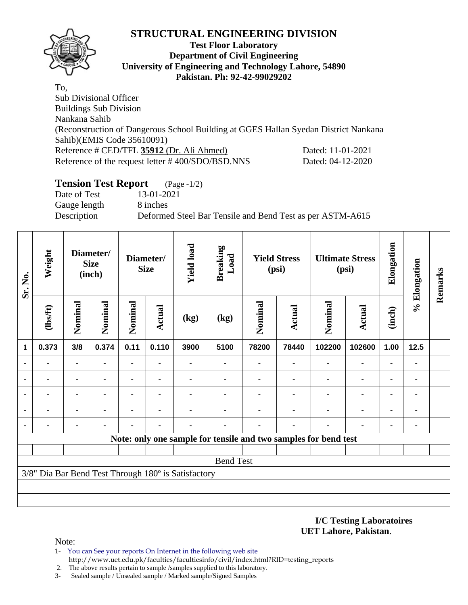

#### **Test Floor Laboratory Department of Civil Engineering University of Engineering and Technology Lahore, 54890 Pakistan. Ph: 92-42-99029202**

To, Sub Divisional Officer Buildings Sub Division Nankana Sahib (Reconstruction of Dangerous School Building at GGES Hallan Syedan District Nankana Sahib)(EMIS Code 35610091) Reference # CED/TFL **35912** (Dr. Ali Ahmed) Dated: 11-01-2021 Reference of the request letter # 400/SDO/BSD.NNS Dated: 04-12-2020

#### **Tension Test Report** (Page -1/2)

Date of Test 13-01-2021 Gauge length 8 inches

Description Deformed Steel Bar Tensile and Bend Test as per ASTM-A615

| Sr. No.        | Weight         | Diameter/<br><b>Size</b><br>(inch) |                |                | <b>Yield load</b><br>Diameter/<br><b>Size</b> |                                                     | <b>Breaking</b><br>Load<br><b>Yield Stress</b><br>(psi) |         |                |                                                                 | <b>Ultimate Stress</b><br>(psi) | Elongation     | % Elongation   | Remarks |
|----------------|----------------|------------------------------------|----------------|----------------|-----------------------------------------------|-----------------------------------------------------|---------------------------------------------------------|---------|----------------|-----------------------------------------------------------------|---------------------------------|----------------|----------------|---------|
|                | $\frac{2}{10}$ | Nominal                            | Nominal        | Nominal        | <b>Actual</b>                                 | (kg)                                                | (kg)                                                    | Nominal | <b>Actual</b>  | Nominal                                                         | <b>Actual</b>                   | (inch)         |                |         |
| 1              | 0.373          | 3/8                                | 0.374          | 0.11           | 0.110                                         | 3900                                                | 5100                                                    | 78200   | 78440          | 102200                                                          | 102600                          | 1.00           | 12.5           |         |
| $\blacksquare$ | $\blacksquare$ | $\blacksquare$                     | $\blacksquare$ |                |                                               |                                                     |                                                         |         | $\blacksquare$ | $\blacksquare$                                                  | $\blacksquare$                  | $\blacksquare$ |                |         |
|                |                | $\blacksquare$                     |                | -              |                                               |                                                     |                                                         |         |                |                                                                 | $\blacksquare$                  | $\blacksquare$ |                |         |
| $\blacksquare$ |                | ۰                                  |                |                |                                               |                                                     |                                                         |         |                |                                                                 | $\blacksquare$                  | ٠              |                |         |
| $\blacksquare$ | $\blacksquare$ | $\blacksquare$                     | ۰              | $\blacksquare$ | ٠                                             |                                                     |                                                         |         |                | ٠                                                               | $\blacksquare$                  | ۰              | $\blacksquare$ |         |
| $\blacksquare$ | -              | ۰                                  |                |                |                                               |                                                     |                                                         |         |                |                                                                 | ۰                               | ٠              |                |         |
|                |                |                                    |                |                |                                               |                                                     |                                                         |         |                | Note: only one sample for tensile and two samples for bend test |                                 |                |                |         |
|                |                |                                    |                |                |                                               |                                                     |                                                         |         |                |                                                                 |                                 |                |                |         |
|                |                |                                    |                |                |                                               |                                                     | <b>Bend Test</b>                                        |         |                |                                                                 |                                 |                |                |         |
|                |                |                                    |                |                |                                               | 3/8" Dia Bar Bend Test Through 180° is Satisfactory |                                                         |         |                |                                                                 |                                 |                |                |         |
|                |                |                                    |                |                |                                               |                                                     |                                                         |         |                |                                                                 |                                 |                |                |         |
|                |                |                                    |                |                |                                               |                                                     |                                                         |         |                |                                                                 |                                 |                |                |         |

**I/C Testing Laboratoires UET Lahore, Pakistan**.

- 1- You can See your reports On Internet in the following web site http://www.uet.edu.pk/faculties/facultiesinfo/civil/index.html?RID=testing\_reports
- 2. The above results pertain to sample /samples supplied to this laboratory.
- 3- Sealed sample / Unsealed sample / Marked sample/Signed Samples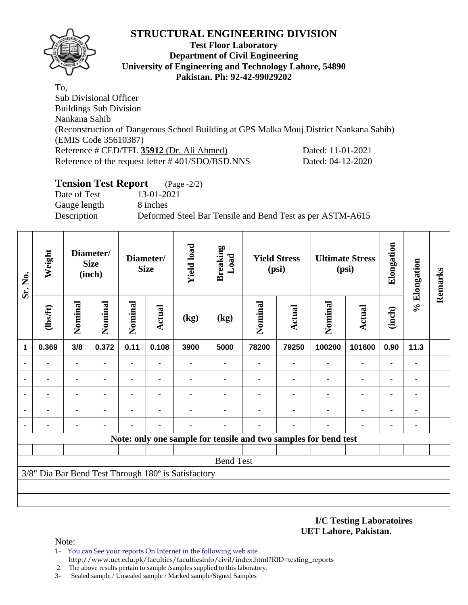

#### **Test Floor Laboratory Department of Civil Engineering University of Engineering and Technology Lahore, 54890 Pakistan. Ph: 92-42-99029202**

To, Sub Divisional Officer Buildings Sub Division Nankana Sahib (Reconstruction of Dangerous School Building at GPS Malka Mouj District Nankana Sahib) (EMIS Code 35610387) Reference # CED/TFL **35912** (Dr. Ali Ahmed) Dated: 11-01-2021 Reference of the request letter # 401/SDO/BSD.NNS Dated: 04-12-2020

#### **Tension Test Report** (Page -2/2)

Date of Test 13-01-2021 Gauge length 8 inches

Description Deformed Steel Bar Tensile and Bend Test as per ASTM-A615

| Sr. No.        | Weight<br>Diameter/<br><b>Size</b><br>(inch) |                |         | Diameter/<br><b>Size</b> | <b>Yield load</b> | <b>Breaking</b><br>Load                             |                  | <b>Yield Stress</b><br>(psi) |                | <b>Ultimate Stress</b><br>(psi)                                 | Elongation     | % Elongation   | Remarks        |  |
|----------------|----------------------------------------------|----------------|---------|--------------------------|-------------------|-----------------------------------------------------|------------------|------------------------------|----------------|-----------------------------------------------------------------|----------------|----------------|----------------|--|
|                | (1bsft)                                      | Nominal        | Nominal | Nominal                  | Actual            | (kg)                                                | (kg)             | Nominal                      | Actual         | Nominal                                                         | Actual         | (inch)         |                |  |
| 1              | 0.369                                        | 3/8            | 0.372   | 0.11                     | 0.108             | 3900                                                | 5000             | 78200                        | 79250          | 100200                                                          | 101600         | 0.90           | 11.3           |  |
| $\blacksquare$ |                                              |                |         | $\blacksquare$           | $\blacksquare$    | $\blacksquare$                                      | ۰                |                              | $\blacksquare$ | $\blacksquare$                                                  | $\blacksquare$ | $\blacksquare$ |                |  |
| $\blacksquare$ |                                              | $\blacksquare$ |         |                          | $\blacksquare$    |                                                     |                  |                              |                |                                                                 | $\blacksquare$ | $\blacksquare$ |                |  |
| $\blacksquare$ |                                              | ۰              |         |                          | $\blacksquare$    |                                                     |                  |                              |                |                                                                 | ٠              | ٠              |                |  |
| $\blacksquare$ | $\blacksquare$                               | $\blacksquare$ | ٠       |                          | $\blacksquare$    |                                                     |                  |                              | ٠              | $\blacksquare$                                                  | ۰              | ۰              | $\blacksquare$ |  |
| $\blacksquare$ |                                              |                |         |                          |                   |                                                     |                  |                              | ٠              | $\blacksquare$                                                  | $\blacksquare$ | $\blacksquare$ |                |  |
|                |                                              |                |         |                          |                   |                                                     |                  |                              |                | Note: only one sample for tensile and two samples for bend test |                |                |                |  |
|                |                                              |                |         |                          |                   |                                                     |                  |                              |                |                                                                 |                |                |                |  |
|                |                                              |                |         |                          |                   |                                                     | <b>Bend Test</b> |                              |                |                                                                 |                |                |                |  |
|                |                                              |                |         |                          |                   | 3/8" Dia Bar Bend Test Through 180° is Satisfactory |                  |                              |                |                                                                 |                |                |                |  |
|                |                                              |                |         |                          |                   |                                                     |                  |                              |                |                                                                 |                |                |                |  |
|                |                                              |                |         |                          |                   |                                                     |                  |                              |                |                                                                 |                |                |                |  |

**I/C Testing Laboratoires UET Lahore, Pakistan**.

- 1- You can See your reports On Internet in the following web site http://www.uet.edu.pk/faculties/facultiesinfo/civil/index.html?RID=testing\_reports
- 2. The above results pertain to sample /samples supplied to this laboratory.
- 3- Sealed sample / Unsealed sample / Marked sample/Signed Samples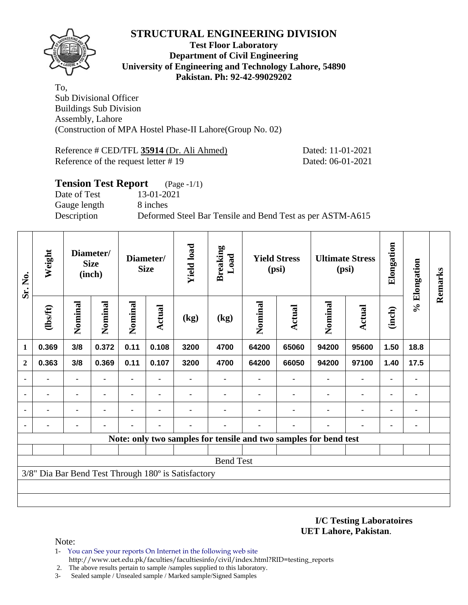

#### **Test Floor Laboratory Department of Civil Engineering University of Engineering and Technology Lahore, 54890 Pakistan. Ph: 92-42-99029202**

To, Sub Divisional Officer Buildings Sub Division Assembly, Lahore (Construction of MPA Hostel Phase-II Lahore(Group No. 02)

Reference # CED/TFL **35914** (Dr. Ali Ahmed) Dated: 11-01-2021 Reference of the request letter # 19 Dated: 06-01-2021

# **Tension Test Report** (Page -1/1) Date of Test 13-01-2021 Gauge length 8 inches Description Deformed Steel Bar Tensile and Bend Test as per ASTM-A615

| Sr. No.        | Weight         |                | Diameter/<br>Diameter/<br><b>Size</b><br><b>Size</b><br>(inch) |                          |                                                    | <b>Yield load</b><br><b>Breaking</b><br>Load        |                  |                | <b>Yield Stress</b><br>(psi)                                     | <b>Ultimate Stress</b><br>(psi) |                | Elongation     | % Elongation   | Remarks |
|----------------|----------------|----------------|----------------------------------------------------------------|--------------------------|----------------------------------------------------|-----------------------------------------------------|------------------|----------------|------------------------------------------------------------------|---------------------------------|----------------|----------------|----------------|---------|
|                | (1bsft)        | Nominal        | Nominal                                                        | Nominal                  | Nominal<br>Actual<br><b>Actual</b><br>(kg)<br>(kg) |                                                     |                  |                | Nominal                                                          | <b>Actual</b>                   | (inch)         |                |                |         |
| 1              | 0.369          | 3/8            | 0.372                                                          | 0.11                     | 0.108                                              | 3200                                                | 4700             | 64200          | 65060                                                            | 94200                           | 95600          | 1.50           | 18.8           |         |
| $\mathbf{2}$   | 0.363          | 3/8            | 0.369                                                          | 0.11                     | 0.107                                              | 3200                                                | 4700             | 64200          | 66050                                                            | 94200                           | 97100          | 1.40           | 17.5           |         |
| $\blacksquare$ | $\blacksquare$ | $\blacksquare$ | $\blacksquare$                                                 | $\overline{\phantom{0}}$ |                                                    |                                                     |                  | $\blacksquare$ |                                                                  |                                 | $\blacksquare$ | $\blacksquare$ | $\blacksquare$ |         |
|                |                | ۰              | $\blacksquare$                                                 | ۰                        | $\blacksquare$                                     |                                                     |                  |                |                                                                  |                                 | $\blacksquare$ | $\blacksquare$ | ۰              |         |
| ٠              |                | ۰              |                                                                |                          |                                                    |                                                     |                  |                |                                                                  |                                 | $\blacksquare$ | ٠              | ٠              |         |
| $\blacksquare$ |                |                |                                                                |                          |                                                    |                                                     |                  |                |                                                                  |                                 |                | $\blacksquare$ | ۰              |         |
|                |                |                |                                                                |                          |                                                    |                                                     |                  |                | Note: only two samples for tensile and two samples for bend test |                                 |                |                |                |         |
|                |                |                |                                                                |                          |                                                    |                                                     |                  |                |                                                                  |                                 |                |                |                |         |
|                |                |                |                                                                |                          |                                                    |                                                     | <b>Bend Test</b> |                |                                                                  |                                 |                |                |                |         |
|                |                |                |                                                                |                          |                                                    | 3/8" Dia Bar Bend Test Through 180° is Satisfactory |                  |                |                                                                  |                                 |                |                |                |         |
|                |                |                |                                                                |                          |                                                    |                                                     |                  |                |                                                                  |                                 |                |                |                |         |
|                |                |                |                                                                |                          |                                                    |                                                     |                  |                |                                                                  |                                 |                |                |                |         |

**I/C Testing Laboratoires UET Lahore, Pakistan**.

- 1- You can See your reports On Internet in the following web site http://www.uet.edu.pk/faculties/facultiesinfo/civil/index.html?RID=testing\_reports
- 2. The above results pertain to sample /samples supplied to this laboratory.
- 3- Sealed sample / Unsealed sample / Marked sample/Signed Samples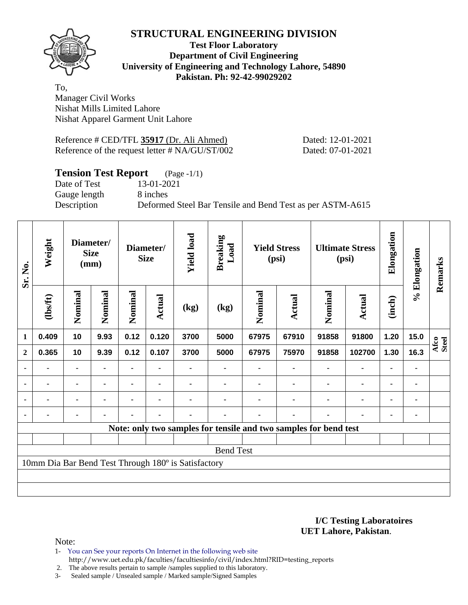

**Test Floor Laboratory Department of Civil Engineering University of Engineering and Technology Lahore, 54890 Pakistan. Ph: 92-42-99029202** 

To, Manager Civil Works Nishat Mills Limited Lahore Nishat Apparel Garment Unit Lahore

| Reference # CED/TFL 35917 (Dr. Ali Ahmed)      |  |
|------------------------------------------------|--|
| Reference of the request letter # NA/GU/ST/002 |  |

Dated: 12-01-2021 Dated: 07-01-2021

# **Tension Test Report** (Page -1/1)

Gauge length 8 inches

Date of Test 13-01-2021

Description Deformed Steel Bar Tensile and Bend Test as per ASTM-A615

| Sr. No.        | Weight         | Diameter/<br><b>Size</b><br>(mm) |                |                          | Diameter/<br><b>Size</b> | <b>Yield load</b><br><b>Breaking</b><br>Load        |                                                                  | <b>Yield Stress</b><br>(psi) |       | <b>Ultimate Stress</b><br>(psi) |                | Elongation | % Elongation | Remarks       |
|----------------|----------------|----------------------------------|----------------|--------------------------|--------------------------|-----------------------------------------------------|------------------------------------------------------------------|------------------------------|-------|---------------------------------|----------------|------------|--------------|---------------|
|                | (lbs/ft)       | Nominal<br>Nominal               |                | Nominal<br><b>Actual</b> |                          | (kg)                                                | (kg)                                                             | Nominal<br>Actual            |       | Nominal                         | <b>Actual</b>  | (inch)     |              |               |
| 1              | 0.409          | 10                               | 9.93           | 0.12                     | 0.120                    | 3700                                                | 5000                                                             | 67975                        | 67910 | 91858                           | 91800          | 1.20       | 15.0         | Afco<br>Steel |
| $\mathbf{2}$   | 0.365          | 10                               | 9.39           | 0.12                     | 0.107                    | 3700                                                | 5000                                                             | 67975                        | 75970 | 91858                           | 102700         | 1.30       | 16.3         |               |
| $\blacksquare$ |                |                                  |                |                          |                          |                                                     |                                                                  |                              |       |                                 |                | ٠          |              |               |
| $\blacksquare$ | ۰              | $\blacksquare$                   | $\blacksquare$ |                          | $\blacksquare$           |                                                     |                                                                  |                              |       |                                 | $\blacksquare$ | ۰          |              |               |
| $\blacksquare$ | $\blacksquare$ | $\blacksquare$                   | $\blacksquare$ | $\blacksquare$           | $\blacksquare$           |                                                     |                                                                  |                              |       | $\blacksquare$                  | $\blacksquare$ | ۰          | ۰            |               |
|                |                |                                  |                |                          |                          |                                                     |                                                                  |                              |       |                                 |                | ٠          |              |               |
|                |                |                                  |                |                          |                          |                                                     | Note: only two samples for tensile and two samples for bend test |                              |       |                                 |                |            |              |               |
|                |                |                                  |                |                          |                          |                                                     |                                                                  |                              |       |                                 |                |            |              |               |
|                |                |                                  |                |                          |                          |                                                     | <b>Bend Test</b>                                                 |                              |       |                                 |                |            |              |               |
|                |                |                                  |                |                          |                          | 10mm Dia Bar Bend Test Through 180° is Satisfactory |                                                                  |                              |       |                                 |                |            |              |               |
|                |                |                                  |                |                          |                          |                                                     |                                                                  |                              |       |                                 |                |            |              |               |
|                |                |                                  |                |                          |                          |                                                     |                                                                  |                              |       |                                 |                |            |              |               |

**I/C Testing Laboratoires UET Lahore, Pakistan**.

Note:

- 1- You can See your reports On Internet in the following web site http://www.uet.edu.pk/faculties/facultiesinfo/civil/index.html?RID=testing\_reports
- 2. The above results pertain to sample /samples supplied to this laboratory.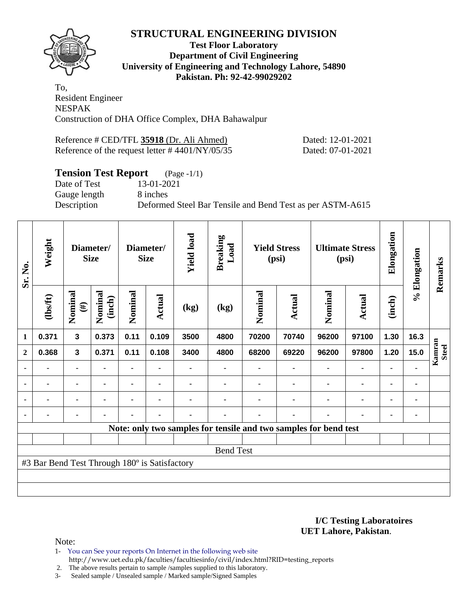

#### **Test Floor Laboratory Department of Civil Engineering University of Engineering and Technology Lahore, 54890 Pakistan. Ph: 92-42-99029202**

To, Resident Engineer NESPAK Construction of DHA Office Complex, DHA Bahawalpur

| Reference # CED/TFL 35918 (Dr. Ali Ahmed)          | Dated: 12-01-2021 |
|----------------------------------------------------|-------------------|
| Reference of the request letter $\# 4401/NY/05/35$ | Dated: 07-01-2021 |

# **Tension Test Report** (Page -1/1)

Date of Test 13-01-2021 Gauge length 8 inches

Description Deformed Steel Bar Tensile and Bend Test as per ASTM-A615

| Sr. No.        | Weight                                        |                         | Diameter/<br><b>Size</b> | <b>Yield load</b><br>Diameter/<br><b>Size</b> |                | <b>Breaking</b><br>Load | <b>Yield Stress</b><br>(psi) |         | <b>Ultimate Stress</b><br>(psi)                                  |         | Elongation     | % Elongation   | Remarks |                        |
|----------------|-----------------------------------------------|-------------------------|--------------------------|-----------------------------------------------|----------------|-------------------------|------------------------------|---------|------------------------------------------------------------------|---------|----------------|----------------|---------|------------------------|
|                | (1bsft)                                       | Nominal<br>$(\#)$       | Nominal<br>(inch)        | Nominal                                       | Actual         | (kg)                    | (kg)                         | Nominal | <b>Actual</b>                                                    | Nominal | <b>Actual</b>  | (inch)         |         |                        |
| 1              | 0.371                                         | $\overline{\mathbf{3}}$ | 0.373                    | 0.11                                          | 0.109          | 3500                    | 4800                         | 70200   | 70740                                                            | 96200   | 97100          | 1.30           | 16.3    |                        |
| $\mathbf{2}$   | 0.368                                         | 3                       | 0.371                    | 0.11                                          | 0.108          | 3400                    | 4800                         | 68200   | 69220                                                            | 96200   | 97800          | 1.20           | 15.0    | Kamran<br><b>Steel</b> |
|                |                                               | ۰                       |                          | $\blacksquare$                                |                |                         |                              |         |                                                                  |         |                |                |         |                        |
| ٠              |                                               | ۰                       |                          |                                               |                |                         |                              |         |                                                                  |         |                | $\blacksquare$ | ۰       |                        |
| $\blacksquare$ | ٠                                             | ۰                       | $\blacksquare$           | ۰                                             | $\blacksquare$ |                         |                              |         |                                                                  | ٠       | $\blacksquare$ | $\blacksquare$ | ۰       |                        |
| $\blacksquare$ | $\blacksquare$                                | ۰                       |                          | $\blacksquare$                                | ٠              |                         | -                            |         |                                                                  |         | $\blacksquare$ | $\blacksquare$ | ۰       |                        |
|                |                                               |                         |                          |                                               |                |                         |                              |         | Note: only two samples for tensile and two samples for bend test |         |                |                |         |                        |
|                |                                               |                         |                          |                                               |                |                         |                              |         |                                                                  |         |                |                |         |                        |
|                |                                               |                         |                          |                                               |                |                         | <b>Bend Test</b>             |         |                                                                  |         |                |                |         |                        |
|                | #3 Bar Bend Test Through 180° is Satisfactory |                         |                          |                                               |                |                         |                              |         |                                                                  |         |                |                |         |                        |
|                |                                               |                         |                          |                                               |                |                         |                              |         |                                                                  |         |                |                |         |                        |
|                |                                               |                         |                          |                                               |                |                         |                              |         |                                                                  |         |                |                |         |                        |

#### **I/C Testing Laboratoires UET Lahore, Pakistan**.

Note:

- 1- You can See your reports On Internet in the following web site http://www.uet.edu.pk/faculties/facultiesinfo/civil/index.html?RID=testing\_reports
- 2. The above results pertain to sample /samples supplied to this laboratory.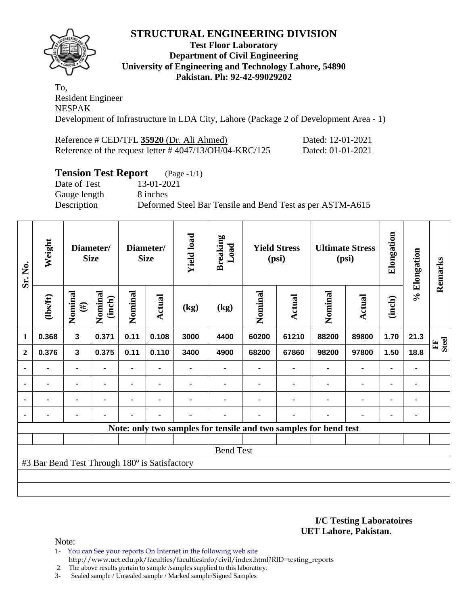

#### **Test Floor Laboratory Department of Civil Engineering University of Engineering and Technology Lahore, 54890 Pakistan. Ph: 92-42-99029202**

To, Resident Engineer NESPAK Development of Infrastructure in LDA City, Lahore (Package 2 of Development Area - 1)

| Reference # CED/TFL 35920 (Dr. Ali Ahmed)                  | Dated: 12-01-2021 |
|------------------------------------------------------------|-------------------|
| Reference of the request letter $\#$ 4047/13/OH/04-KRC/125 | Dated: 01-01-2021 |

## **Tension Test Report** (Page -1/1)

Date of Test 13-01-2021 Gauge length 8 inches

Description Deformed Steel Bar Tensile and Bend Test as per ASTM-A615

| Sr. No.        | Weight                                        |                         | Diameter/<br><b>Size</b> |                | Diameter/<br><b>Size</b> |                | <b>Yield load</b><br><b>Breaking</b><br>Load |         | <b>Yield Stress</b><br>(psi)                                     |         | <b>Ultimate Stress</b><br>(psi) | Elongation     | % Elongation | Remarks                      |
|----------------|-----------------------------------------------|-------------------------|--------------------------|----------------|--------------------------|----------------|----------------------------------------------|---------|------------------------------------------------------------------|---------|---------------------------------|----------------|--------------|------------------------------|
|                | $\frac{2}{10}$                                | Nominal<br>$(\#)$       | Nominal<br>(inch)        | Nominal        | <b>Actual</b>            | (kg)           | (kg)                                         | Nominal | Actual                                                           | Nominal | Actual                          | (inch)         |              |                              |
| 1              | 0.368                                         | $\overline{\mathbf{3}}$ | 0.371                    | 0.11           | 0.108                    | 3000           | 4400                                         | 60200   | 61210                                                            | 88200   | 89800                           | 1.70           | 21.3         | <b>Steel</b><br>$\mathbb{H}$ |
| $\mathbf{2}$   | 0.376                                         | 3                       | 0.375                    | 0.11           | 0.110                    | 3400           | 4900                                         | 68200   | 67860                                                            | 98200   | 97800                           | 1.50           | 18.8         |                              |
|                |                                               |                         |                          |                |                          |                |                                              |         |                                                                  |         | $\blacksquare$                  | $\blacksquare$ | ٠            |                              |
| ٠              | -                                             | ۰                       |                          |                |                          |                |                                              |         |                                                                  |         | $\blacksquare$                  | $\blacksquare$ | ٠            |                              |
| $\blacksquare$ | ۰                                             | ۰                       | ٠                        | $\blacksquare$ | $\blacksquare$           |                |                                              |         | $\blacksquare$                                                   |         | $\blacksquare$                  | $\blacksquare$ | ۰            |                              |
| $\blacksquare$ | ۰                                             |                         | $\blacksquare$           | -              | $\blacksquare$           | $\blacksquare$ |                                              |         | $\blacksquare$                                                   |         | $\blacksquare$                  | $\blacksquare$ | ۰            |                              |
|                |                                               |                         |                          |                |                          |                |                                              |         | Note: only two samples for tensile and two samples for bend test |         |                                 |                |              |                              |
|                |                                               |                         |                          |                |                          |                |                                              |         |                                                                  |         |                                 |                |              |                              |
|                |                                               |                         |                          |                |                          |                | <b>Bend Test</b>                             |         |                                                                  |         |                                 |                |              |                              |
|                | #3 Bar Bend Test Through 180° is Satisfactory |                         |                          |                |                          |                |                                              |         |                                                                  |         |                                 |                |              |                              |
|                |                                               |                         |                          |                |                          |                |                                              |         |                                                                  |         |                                 |                |              |                              |
|                |                                               |                         |                          |                |                          |                |                                              |         |                                                                  |         |                                 |                |              |                              |

**I/C Testing Laboratoires UET Lahore, Pakistan**.

Note:

1- You can See your reports On Internet in the following web site

http://www.uet.edu.pk/faculties/facultiesinfo/civil/index.html?RID=testing\_reports

2. The above results pertain to sample /samples supplied to this laboratory.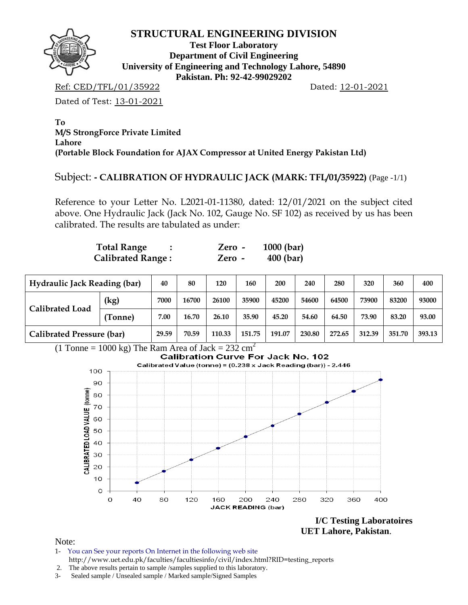

**Test Floor Laboratory Department of Civil Engineering University of Engineering and Technology Lahore, 54890 Pakistan. Ph: 92-42-99029202** 

Ref: CED/TFL/01/35922 Dated: 12-01-2021

Dated of Test: 13-01-2021

**To M/S StrongForce Private Limited Lahore (Portable Block Foundation for AJAX Compressor at United Energy Pakistan Ltd)** 

## Subject: **- CALIBRATION OF HYDRAULIC JACK (MARK: TFL/01/35922)** (Page -1/1)

Reference to your Letter No. L2021-01-11380, dated: 12/01/2021 on the subject cited above. One Hydraulic Jack (Jack No. 102, Gauge No. SF 102) as received by us has been calibrated. The results are tabulated as under:

| <b>Total Range</b>       | Zero - | $1000$ (bar) |
|--------------------------|--------|--------------|
| <b>Calibrated Range:</b> | Zero - | $400$ (bar)  |

| <b>Hydraulic Jack Reading (bar)</b> | 40      | 80    | 120   | 160    | 200    | 240    | 280    | 320    | 360    | 400    |        |
|-------------------------------------|---------|-------|-------|--------|--------|--------|--------|--------|--------|--------|--------|
|                                     | (kg)    | 7000  | 16700 | 26100  | 35900  | 45200  | 54600  | 64500  | 73900  | 83200  | 93000  |
| <b>Calibrated Load</b>              | (Tonne) | 7.00  | 16.70 | 26.10  | 35.90  | 45.20  | 54.60  | 64.50  | 73.90  | 83.20  | 93.00  |
| <b>Calibrated Pressure (bar)</b>    |         | 29.59 | 70.59 | 110.33 | 151.75 | 191.07 | 230.80 | 272.65 | 312.39 | 351.70 | 393.13 |

(1 Tonne = 1000 kg) The Ram Area of Jack =  $232 \text{ cm}^2$ <br>Calibration Curve For Jack No. 102



 **UET Lahore, Pakistan**.

- 1- You can See your reports On Internet in the following web site http://www.uet.edu.pk/faculties/facultiesinfo/civil/index.html?RID=testing\_reports
- 2. The above results pertain to sample /samples supplied to this laboratory.
- 3- Sealed sample / Unsealed sample / Marked sample/Signed Samples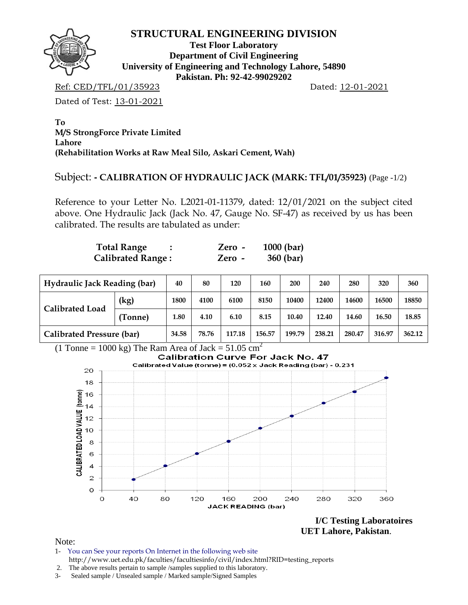

**Test Floor Laboratory Department of Civil Engineering University of Engineering and Technology Lahore, 54890 Pakistan. Ph: 92-42-99029202** 

Ref: CED/TFL/01/35923 Dated: 12-01-2021

Dated of Test: 13-01-2021

**To M/S StrongForce Private Limited Lahore (Rehabilitation Works at Raw Meal Silo, Askari Cement, Wah)** 

# Subject: **- CALIBRATION OF HYDRAULIC JACK (MARK: TFL/01/35923)** (Page -1/2)

Reference to your Letter No. L2021-01-11379, dated: 12/01/2021 on the subject cited above. One Hydraulic Jack (Jack No. 47, Gauge No. SF-47) as received by us has been calibrated. The results are tabulated as under:

| <b>Total Range</b>       | Zero - | $1000$ (bar) |
|--------------------------|--------|--------------|
| <b>Calibrated Range:</b> | Zero - | 360 (bar)    |

| <b>Hydraulic Jack Reading (bar)</b> |         | 40    | 80    | 120    | 160    | 200    | 240    | 280    | 320    | 360    |
|-------------------------------------|---------|-------|-------|--------|--------|--------|--------|--------|--------|--------|
| <b>Calibrated Load</b>              | (kg)    | 1800  | 4100  | 6100   | 8150   | 10400  | 12400  | 14600  | 16500  | 18850  |
|                                     | (Tonne) | 1.80  | 4.10  | 6.10   | 8.15   | 10.40  | 12.40  | 14.60  | 16.50  | 18.85  |
| Calibrated Pressure (bar)           |         | 34.58 | 78.76 | 117.18 | 156.57 | 199.79 | 238.21 | 280.47 | 316.97 | 362.12 |



**I/C Testing Laboratoires UET Lahore, Pakistan**.

- 1- You can See your reports On Internet in the following web site http://www.uet.edu.pk/faculties/facultiesinfo/civil/index.html?RID=testing\_reports
- 2. The above results pertain to sample /samples supplied to this laboratory.
- 3- Sealed sample / Unsealed sample / Marked sample/Signed Samples